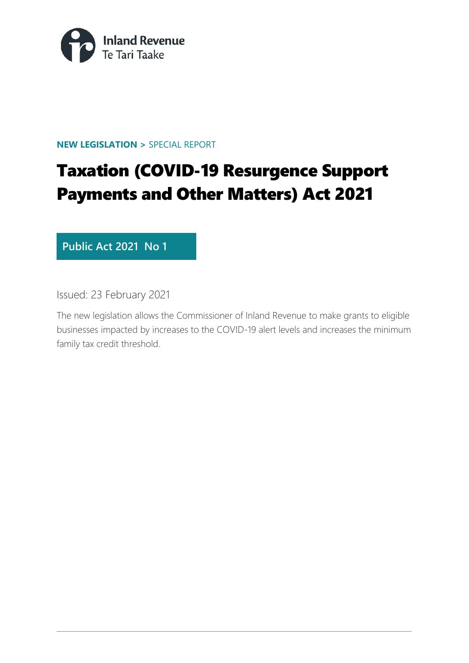

**NEW LEGISLATION >** SPECIAL REPORT

# Taxation (COVID-19 Resurgence Support Payments and Other Matters) Act 2021

**Public Act 2021 No 1**

Issued: 23 February 2021

The new legislation allows the Commissioner of Inland Revenue to make grants to eligible businesses impacted by increases to the COVID-19 alert levels and increases the minimum family tax credit threshold.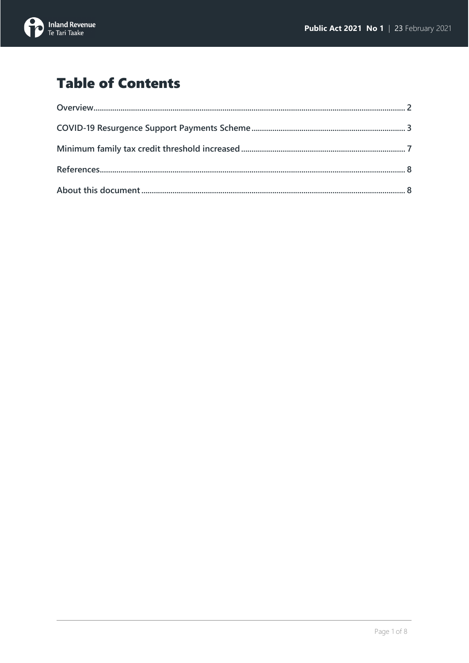

## **Table of Contents**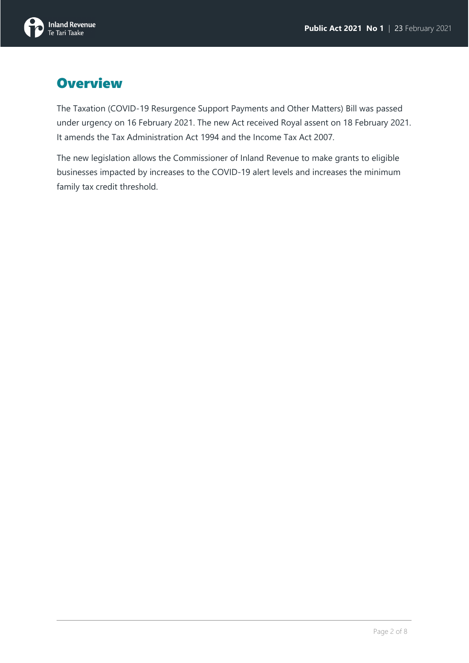

## <span id="page-2-0"></span>**Overview**

The Taxation (COVID-19 Resurgence Support Payments and Other Matters) Bill was passed under urgency on 16 February 2021. The new Act received Royal assent on 18 February 2021. It amends the Tax Administration Act 1994 and the Income Tax Act 2007.

The new legislation allows the Commissioner of Inland Revenue to make grants to eligible businesses impacted by increases to the COVID-19 alert levels and increases the minimum family tax credit threshold.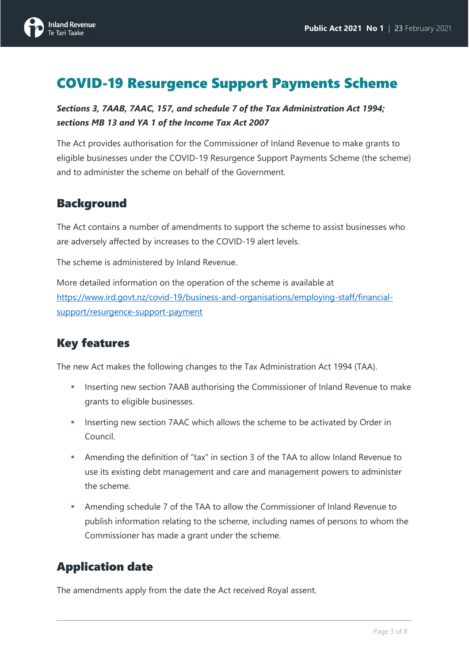

## <span id="page-3-0"></span>COVID-19 Resurgence Support Payments Scheme

#### *Sections 3, 7AAB, 7AAC, 157, and schedule 7 of the Tax Administration Act 1994; sections MB 13 and YA 1 of the Income Tax Act 2007*

The Act provides authorisation for the Commissioner of Inland Revenue to make grants to eligible businesses under the COVID-19 Resurgence Support Payments Scheme (the scheme) and to administer the scheme on behalf of the Government.

## **Background**

The Act contains a number of amendments to support the scheme to assist businesses who are adversely affected by increases to the COVID-19 alert levels.

The scheme is administered by Inland Revenue.

More detailed information on the operation of the scheme is available at [https://www.ird.govt.nz/covid-19/business-and-organisations/employing-staff/financial](https://www.ird.govt.nz/covid-19/business-and-organisations/employing-staff/financial-support/resurgence-support-payment)[support/resurgence-support-payment](https://www.ird.govt.nz/covid-19/business-and-organisations/employing-staff/financial-support/resurgence-support-payment)

## Key features

The new Act makes the following changes to the Tax Administration Act 1994 (TAA).

- **Inserting new section 7AAB authorising the Commissioner of Inland Revenue to make** grants to eligible businesses.
- **Inserting new section 7AAC which allows the scheme to be activated by Order in** Council.
- Amending the definition of "tax" in section 3 of the TAA to allow Inland Revenue to use its existing debt management and care and management powers to administer the scheme.
- Amending schedule 7 of the TAA to allow the Commissioner of Inland Revenue to publish information relating to the scheme, including names of persons to whom the Commissioner has made a grant under the scheme.

### Application date

The amendments apply from the date the Act received Royal assent.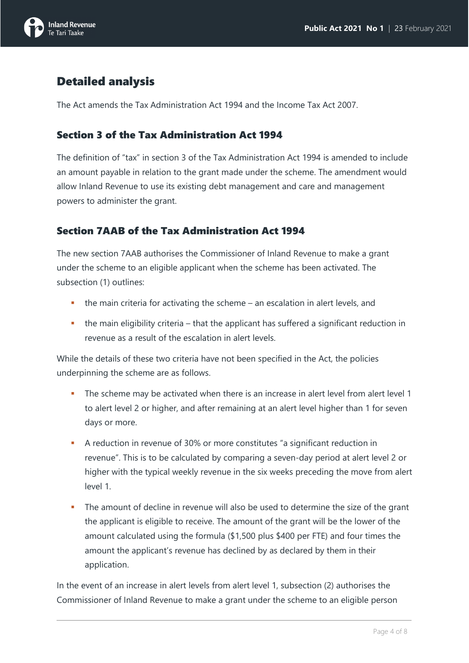

## Detailed analysis

The Act amends the Tax Administration Act 1994 and the Income Tax Act 2007.

#### Section 3 of the Tax Administration Act 1994

The definition of "tax" in section 3 of the Tax Administration Act 1994 is amended to include an amount payable in relation to the grant made under the scheme. The amendment would allow Inland Revenue to use its existing debt management and care and management powers to administer the grant.

#### Section 7AAB of the Tax Administration Act 1994

The new section 7AAB authorises the Commissioner of Inland Revenue to make a grant under the scheme to an eligible applicant when the scheme has been activated. The subsection (1) outlines:

- $\blacksquare$  the main criteria for activating the scheme an escalation in alert levels, and
- $\blacksquare$  the main eligibility criteria that the applicant has suffered a significant reduction in revenue as a result of the escalation in alert levels.

While the details of these two criteria have not been specified in the Act, the policies underpinning the scheme are as follows.

- The scheme may be activated when there is an increase in alert level from alert level 1 to alert level 2 or higher, and after remaining at an alert level higher than 1 for seven days or more.
- A reduction in revenue of 30% or more constitutes "a significant reduction in revenue". This is to be calculated by comparing a seven-day period at alert level 2 or higher with the typical weekly revenue in the six weeks preceding the move from alert level 1.
- The amount of decline in revenue will also be used to determine the size of the grant the applicant is eligible to receive. The amount of the grant will be the lower of the amount calculated using the formula (\$1,500 plus \$400 per FTE) and four times the amount the applicant's revenue has declined by as declared by them in their application.

In the event of an increase in alert levels from alert level 1, subsection (2) authorises the Commissioner of Inland Revenue to make a grant under the scheme to an eligible person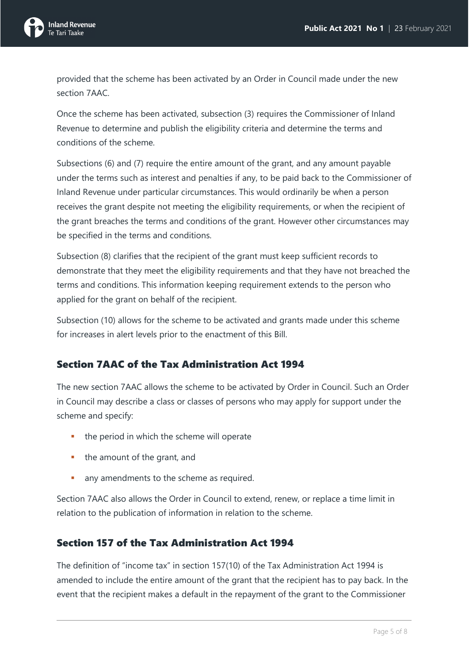

provided that the scheme has been activated by an Order in Council made under the new section 7AAC.

Once the scheme has been activated, subsection (3) requires the Commissioner of Inland Revenue to determine and publish the eligibility criteria and determine the terms and conditions of the scheme.

Subsections (6) and (7) require the entire amount of the grant, and any amount payable under the terms such as interest and penalties if any, to be paid back to the Commissioner of Inland Revenue under particular circumstances. This would ordinarily be when a person receives the grant despite not meeting the eligibility requirements, or when the recipient of the grant breaches the terms and conditions of the grant. However other circumstances may be specified in the terms and conditions.

Subsection (8) clarifies that the recipient of the grant must keep sufficient records to demonstrate that they meet the eligibility requirements and that they have not breached the terms and conditions. This information keeping requirement extends to the person who applied for the grant on behalf of the recipient.

Subsection (10) allows for the scheme to be activated and grants made under this scheme for increases in alert levels prior to the enactment of this Bill.

#### Section 7AAC of the Tax Administration Act 1994

The new section 7AAC allows the scheme to be activated by Order in Council. Such an Order in Council may describe a class or classes of persons who may apply for support under the scheme and specify:

- the period in which the scheme will operate
- the amount of the grant, and
- **any amendments to the scheme as required.**

Section 7AAC also allows the Order in Council to extend, renew, or replace a time limit in relation to the publication of information in relation to the scheme.

#### Section 157 of the Tax Administration Act 1994

The definition of "income tax" in section 157(10) of the Tax Administration Act 1994 is amended to include the entire amount of the grant that the recipient has to pay back. In the event that the recipient makes a default in the repayment of the grant to the Commissioner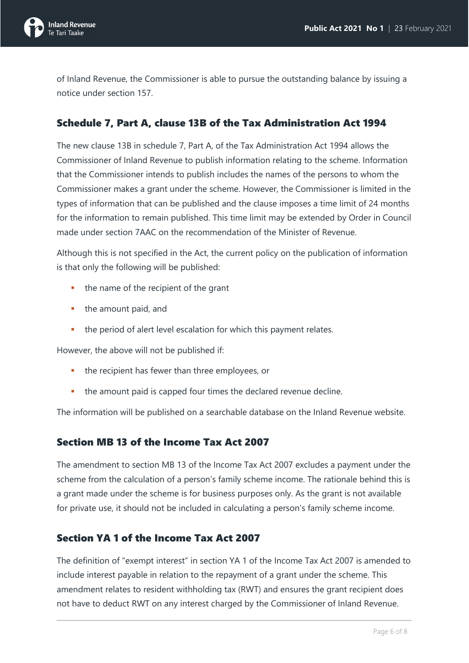

of Inland Revenue, the Commissioner is able to pursue the outstanding balance by issuing a notice under section 157.

#### Schedule 7, Part A, clause 13B of the Tax Administration Act 1994

The new clause 13B in schedule 7, Part A, of the Tax Administration Act 1994 allows the Commissioner of Inland Revenue to publish information relating to the scheme. Information that the Commissioner intends to publish includes the names of the persons to whom the Commissioner makes a grant under the scheme. However, the Commissioner is limited in the types of information that can be published and the clause imposes a time limit of 24 months for the information to remain published. This time limit may be extended by Order in Council made under section 7AAC on the recommendation of the Minister of Revenue.

Although this is not specified in the Act, the current policy on the publication of information is that only the following will be published:

- $\blacksquare$  the name of the recipient of the grant
- **the amount paid, and**
- **the period of alert level escalation for which this payment relates.**

However, the above will not be published if:

- the recipient has fewer than three employees, or
- the amount paid is capped four times the declared revenue decline.

The information will be published on a searchable database on the Inland Revenue website.

#### Section MB 13 of the Income Tax Act 2007

The amendment to section MB 13 of the Income Tax Act 2007 excludes a payment under the scheme from the calculation of a person's family scheme income. The rationale behind this is a grant made under the scheme is for business purposes only. As the grant is not available for private use, it should not be included in calculating a person's family scheme income.

#### Section YA 1 of the Income Tax Act 2007

The definition of "exempt interest" in section YA 1 of the Income Tax Act 2007 is amended to include interest payable in relation to the repayment of a grant under the scheme. This amendment relates to resident withholding tax (RWT) and ensures the grant recipient does not have to deduct RWT on any interest charged by the Commissioner of Inland Revenue.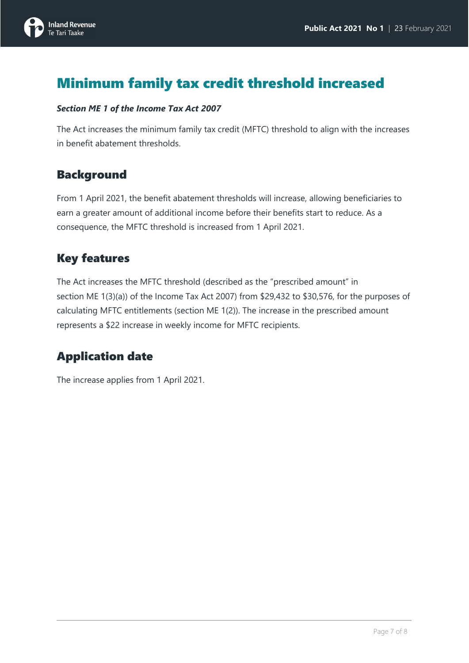

## <span id="page-7-0"></span>Minimum family tax credit threshold increased

#### *Section ME 1 of the Income Tax Act 2007*

The Act increases the minimum family tax credit (MFTC) threshold to align with the increases in benefit abatement thresholds.

### **Background**

From 1 April 2021, the benefit abatement thresholds will increase, allowing beneficiaries to earn a greater amount of additional income before their benefits start to reduce. As a consequence, the MFTC threshold is increased from 1 April 2021.

## Key features

The Act increases the MFTC threshold (described as the "prescribed amount" in section ME 1(3)(a)) of the Income Tax Act 2007) from \$29,432 to \$30,576, for the purposes of calculating MFTC entitlements (section ME 1(2)). The increase in the prescribed amount represents a \$22 increase in weekly income for MFTC recipients.

## Application date

The increase applies from 1 April 2021.